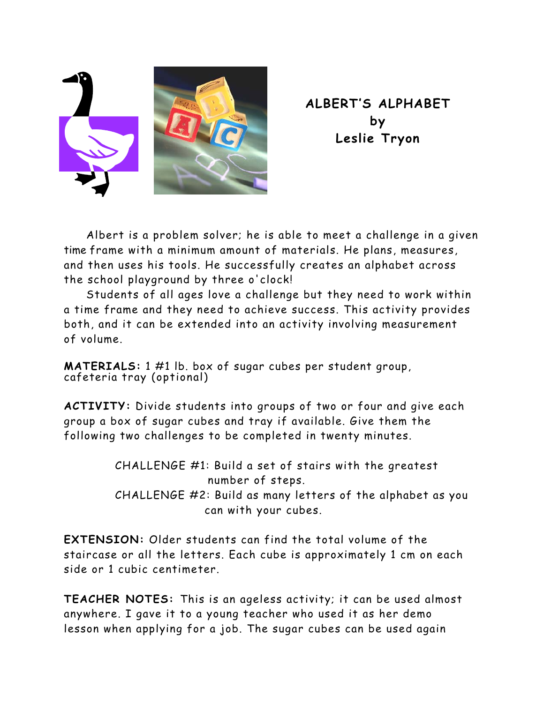

**ALBERT'S ALPHABET by Leslie Tryon** 

Albert is a problem solver; he is able to meet a challenge in a given time frame with a minimum amount of materials. He plans, measures, and then uses his tools. He successfully creates an alphabet across the school playground by three o'clock!

Students of all ages love a challenge but they need to work within a time frame and they need to achieve success. This activity provides both, and it can be extended into an activity involving measurement of volume.

**MATERIALS:** 1 #1 lb. box of sugar cubes per student group, cafeteria tray (optional)

**ACTIVITY:** Divide students into groups of two or four and give each group a box of sugar cubes and tray if available. Give them the following two challenges to be completed in twenty minutes.

> CHALLENGE #1: Build a set of stairs with the greatest number of steps. CHALLENGE #2: Build as many letters of the alphabet as you can with your cubes.

**EXTENSION:** Older students can find the total volume of the staircase or all the letters. Each cube is approximately 1 cm on each side or 1 cubic centimeter.

**TEACHER NOTES:** This is an ageless activity; it can be used almost anywhere. I gave it to a young teacher who used it as her demo lesson when applying for a job. The sugar cubes can be used again